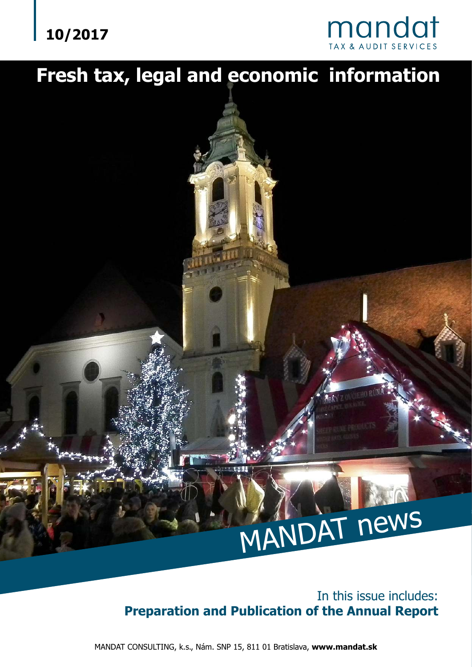## **10/2017**



## **Fresh tax, legal and economic information**

# MANDAT news

In this issue includes: **Preparation and Publication of the Annual Report**

MANDAT CONSULTING, k.s., Nám. SNP 15, 811 01 Bratislava, **www.mandat.sk**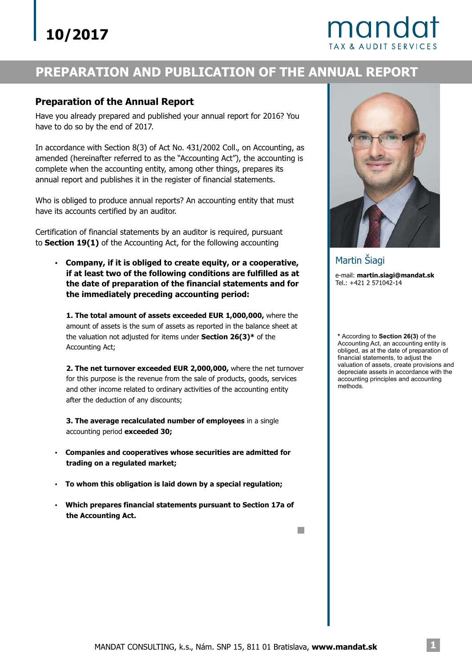## mand

## **PREPARATION AND PUBLICATION OF THE ANNUAL REPORT**

#### **Preparation of the Annual Report**

Have you already prepared and published your annual report for 2016? You have to do so by the end of 2017.

In accordance with Section 8(3) of Act No. 431/2002 Coll., on Accounting, as amended (hereinafter referred to as the "Accounting Act"), the accounting is complete when the accounting entity, among other things, prepares its annual report and publishes it in the register of financial statements.

Who is obliged to produce annual reports? An accounting entity that must have its accounts certified by an auditor.

Certification of financial statements by an auditor is required, pursuant to **Section 19(1)** of the Accounting Act, for the following accounting

? **Company, if it is obliged to create equity, or a cooperative, if at least two of the following conditions are fulfilled as at the date of preparation of the financial statements and for the immediately preceding accounting period:**

**1. The total amount of assets exceeded EUR 1,000,000,** where the the valuation not adjusted for items under **Section 26(3)**\* of the amount of assets is the sum of assets as reported in the balance sheet at Accounting Act;

**2. The net turnover exceeded EUR 2,000,000,** where the net turnover for this purpose is the revenue from the sale of products, goods, services and other income related to ordinary activities of the accounting entity after the deduction of any discounts;

**3. The average recalculated number of employees** in a single accounting period **exceeded 30;** 

- **Companies and cooperatives whose securities are admitted for trading on a regulated market;** ?
- **To whom this obligation is laid down by a special regulation;** ?
- **Which prepares financial statements pursuant to Section 17a of the Accounting Act.** ?



e-mail: **martin.siagi@mandat.sk** Tel.: +421 2 571042-14 Martin Šiagi

\* According to **Section 26(3)** of the Accounting Act, an accounting entity is obliged, as at the date of preparation of financial statements, to adjust the valuation of assets, create provisions and depreciate assets in accordance with the accounting principles and accounting methods.

 $\mathbb{R}^n$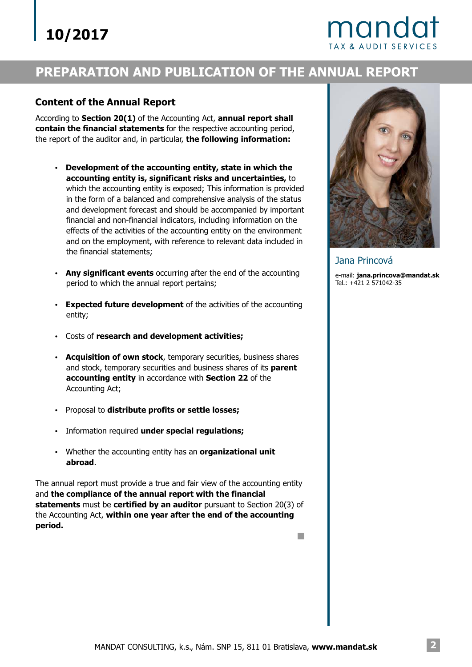## mand

## **PREPARATION AND PUBLICATION OF THE ANNUAL REPORT**

#### **Content of the Annual Report**

According to Section 20(1) of the Accounting Act, annual report shall **contain the financial statements** for the respective accounting period, the report of the auditor and, in particular, **the following information:**

- ? **Development of the accounting entity, state in which the accounting entity is, significant risks and uncertainties,** to which the accounting entity is exposed; This information is provided in the form of a balanced and comprehensive analysis of the status and development forecast and should be accompanied by important financial and non-financial indicators, including information on the effects of the activities of the accounting entity on the environment and on the employment, with reference to relevant data included in the financial statements;
- Any significant events occurring after the end of the accounting period to which the annual report pertains;
- Expected future development of the activities of the accounting entity;
- **Costs of research and development activities;**
- **Acquisition of own stock**, temporary securities, business shares and stock, temporary securities and business shares of its **parent accounting entity** in accordance with **Section 22** of the Accounting Act;
- **·** Proposal to distribute profits or settle losses;
- ? Information required under special regulations;
- ? Whether the accounting entity has an **organizational unit abroad** .

The annual report must provide a true and fair view of the accounting entity and **the compliance of the annual report with the financial statements** must be **certified by an auditor** pursuant to Section 20(3) of the Accounting Act, **within one year after the end of the accounting period.**



Jana Princová

e-mail: **jana.princova@mandat.sk** Tel.: +421 2 571042-35

**I**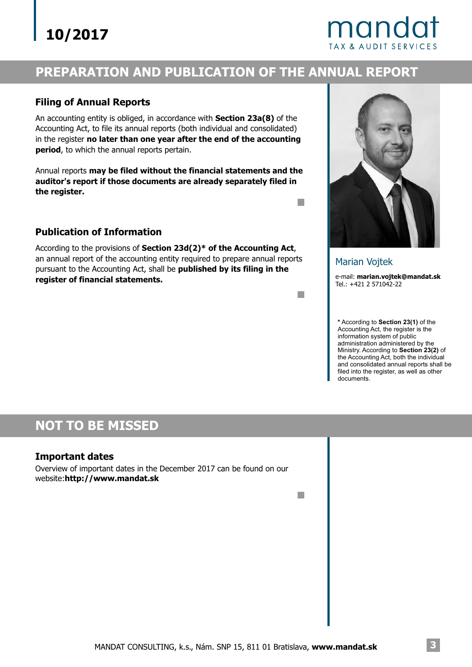## **10/2017**

## mando

## **PREPARATION AND PUBLICATION OF THE ANNUAL REPORT**

#### **Filing of Annual Reports**

An accounting entity is obliged, in accordance with **Section 23a(8)** of the Accounting Act, to file its annual reports (both individual and consolidated) in the register **no later than one year after the end of the accounting** period, to which the annual reports pertain.

Annual reports **may be filed without the financial statements and the auditor's report if those documents are already separately filed in the register.**

#### **Publication of Information**

According to the provisions of Section 23d(2)\* of the Accounting Act, an annual report of the accounting entity required to prepare annual reports pursuant to the Accounting Act, shall be **published by its filing in the register of financial statements.**



e-mail: **marian.vojtek@mandat.sk** Marian Vojtek

Tel.: +421 2 571042-22

\* According to **Section 23(1)** of the Ministry. According to Section 23(2) of Accounting Act, the register is the information system of public administration administered by the the Accounting Act, both the individual and consolidated annual reports shall be filed into the register, as well as other documents.

### **NOT TO BE MISSED**

#### **Important dates**

Overview of important dates in the December 2017 can be found on our website:**http://www.mandat.sk**

n.

m.

**Tale**